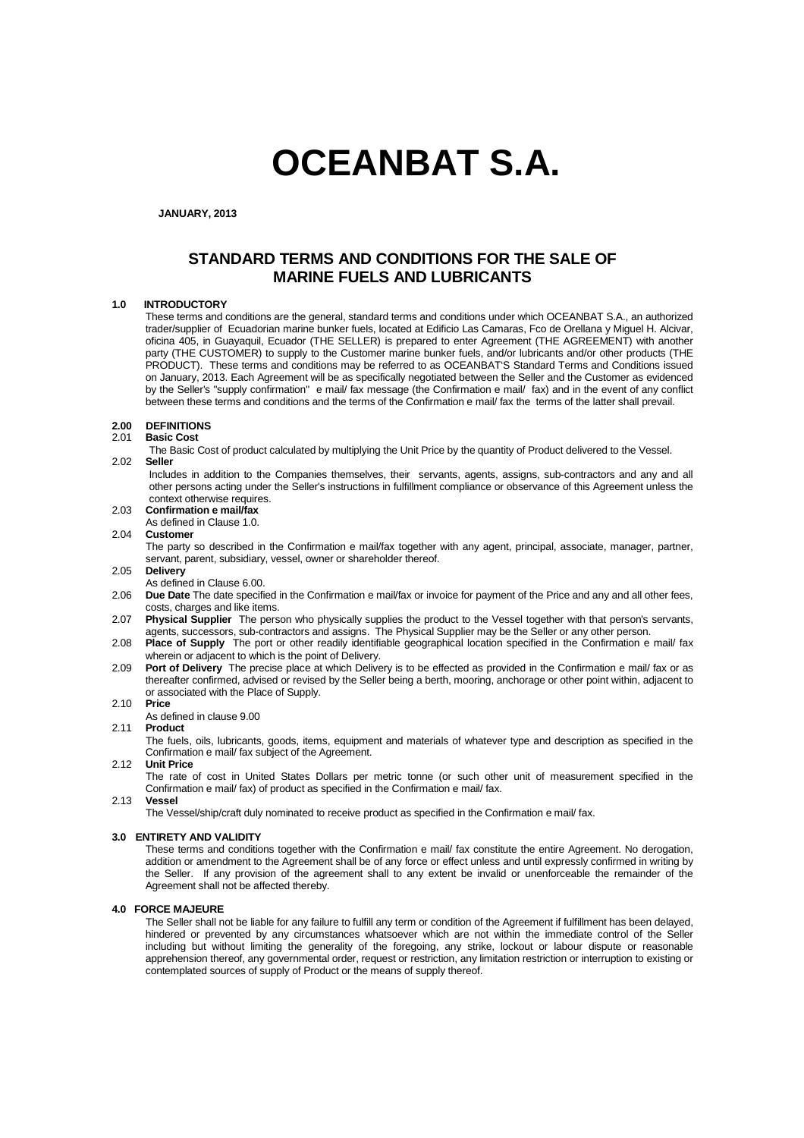# **OCEANBAT S.A.**

**JANUARY, 2013**

# **STANDARD TERMS AND CONDITIONS FOR THE SALE OF MARINE FUELS AND LUBRICANTS**

# **1.0 INTRODUCTORY**

These terms and conditions are the general, standard terms and conditions under which OCEANBAT S.A., an authorized trader/supplier of Ecuadorian marine bunker fuels, located at Edificio Las Camaras, Fco de Orellana y Miguel H. Alcivar, oficina 405, in Guayaquil, Ecuador (THE SELLER) is prepared to enter Agreement (THE AGREEMENT) with another party (THE CUSTOMER) to supply to the Customer marine bunker fuels, and/or lubricants and/or other products (THE PRODUCT). These terms and conditions may be referred to as OCEANBAT'S Standard Terms and Conditions issued on January, 2013. Each Agreement will be as specifically negotiated between the Seller and the Customer as evidenced by the Seller's "supply confirmation" e mail/ fax message (the Confirmation e mail/ fax) and in the event of any conflict between these terms and conditions and the terms of the Confirmation e mail/ fax the terms of the latter shall prevail.

### **2.00 DEFINITIONS**

#### 2.01 **Basic Cost**

The Basic Cost of product calculated by multiplying the Unit Price by the quantity of Product delivered to the Vessel. 2.02 **Seller**

Includes in addition to the Companies themselves, their servants, agents, assigns, sub-contractors and any and all other persons acting under the Seller's instructions in fulfillment compliance or observance of this Agreement unless the context otherwise requires.

- 2.03 **Confirmation e mail/fax**
- As defined in Clause 1.0.<br>2.04 Customer

# 2.04 **Customer**

 The party so described in the Confirmation e mail/fax together with any agent, principal, associate, manager, partner, servant, parent, subsidiary, vessel, owner or shareholder thereof.

- 2.05 **Delivery**
- As defined in Clause 6.00.
- 2.06 **Due Date** The date specified in the Confirmation e mail/fax or invoice for payment of the Price and any and all other fees, costs, charges and like items.
- 2.07 **Physical Supplier** The person who physically supplies the product to the Vessel together with that person's servants, agents, successors, sub-contractors and assigns. The Physical Supplier may be the Seller or any other person.
- 2.08 **Place of Supply** The port or other readily identifiable geographical location specified in the Confirmation e mail/ fax wherein or adjacent to which is the point of Delivery.
- 2.09 **Port of Delivery** The precise place at which Delivery is to be effected as provided in the Confirmation e mail/ fax or as thereafter confirmed, advised or revised by the Seller being a berth, mooring, anchorage or other point within, adjacent to or associated with the Place of Supply.

#### 2.10 **Price**

As defined in clause 9.00

# 2.11 **Product**

 The fuels, oils, lubricants, goods, items, equipment and materials of whatever type and description as specified in the Confirmation e mail/ fax subject of the Agreement.

# 2.12 **Unit Price**

 The rate of cost in United States Dollars per metric tonne (or such other unit of measurement specified in the Confirmation e mail/ fax) of product as specified in the Confirmation e mail/ fax.

# 2.13 **Vessel**

The Vessel/ship/craft duly nominated to receive product as specified in the Confirmation e mail/ fax.

# **3.0 ENTIRETY AND VALIDITY**

These terms and conditions together with the Confirmation e mail/ fax constitute the entire Agreement. No derogation, addition or amendment to the Agreement shall be of any force or effect unless and until expressly confirmed in writing by the Seller. If any provision of the agreement shall to any extent be invalid or unenforceable the remainder of the Agreement shall not be affected thereby.

#### **4.0 FORCE MAJEURE**

 The Seller shall not be liable for any failure to fulfill any term or condition of the Agreement if fulfillment has been delayed, hindered or prevented by any circumstances whatsoever which are not within the immediate control of the Seller including but without limiting the generality of the foregoing, any strike, lockout or labour dispute or reasonable apprehension thereof, any governmental order, request or restriction, any limitation restriction or interruption to existing or contemplated sources of supply of Product or the means of supply thereof.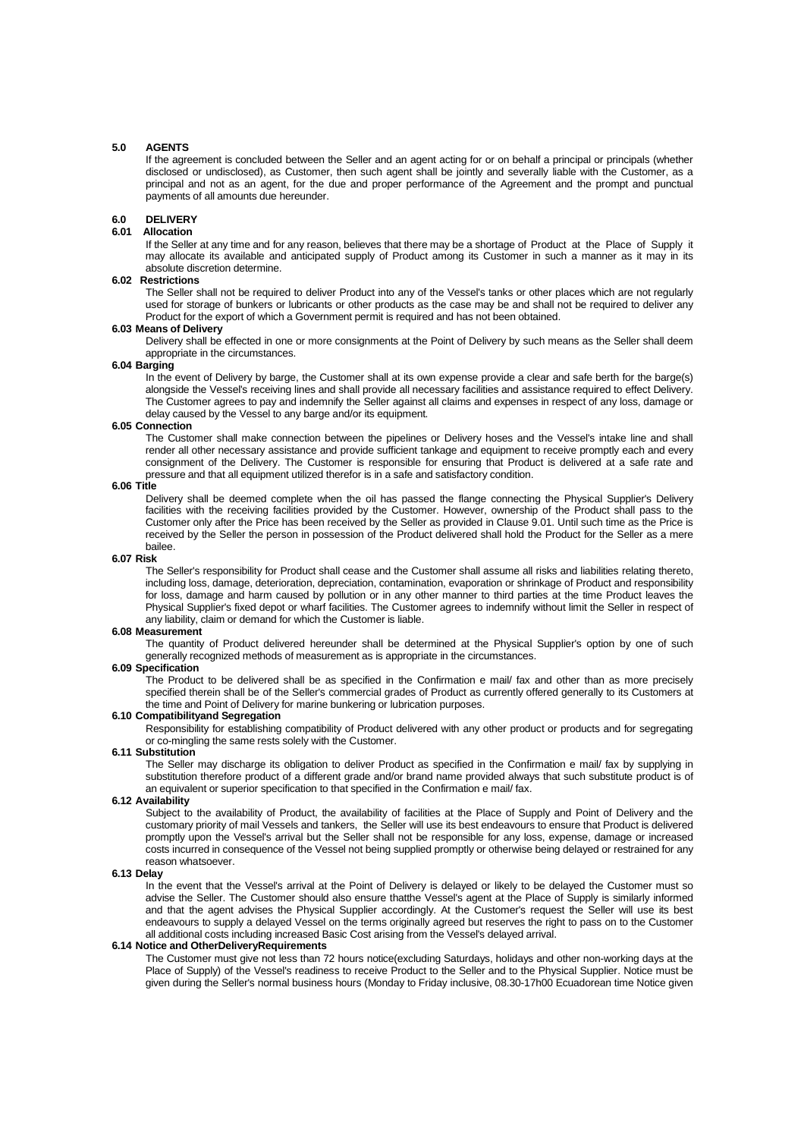#### **5.0 AGENTS**

 If the agreement is concluded between the Seller and an agent acting for or on behalf a principal or principals (whether disclosed or undisclosed), as Customer, then such agent shall be jointly and severally liable with the Customer, as a principal and not as an agent, for the due and proper performance of the Agreement and the prompt and punctual payments of all amounts due hereunder.

## **6.0 DELIVERY**

# **6.01 Allocation**

 If the Seller at any time and for any reason, believes that there may be a shortage of Product at the Place of Supply it may allocate its available and anticipated supply of Product among its Customer in such a manner as it may in its absolute discretion determine.

# **6.02 Restrictions**

 The Seller shall not be required to deliver Product into any of the Vessel's tanks or other places which are not regularly used for storage of bunkers or lubricants or other products as the case may be and shall not be required to deliver any Product for the export of which a Government permit is required and has not been obtained.

# **6.03 Means of Delivery**

 Delivery shall be effected in one or more consignments at the Point of Delivery by such means as the Seller shall deem appropriate in the circumstances.

# **6.04 Barging**

In the event of Delivery by barge, the Customer shall at its own expense provide a clear and safe berth for the barge(s) alongside the Vessel's receiving lines and shall provide all necessary facilities and assistance required to effect Delivery. The Customer agrees to pay and indemnify the Seller against all claims and expenses in respect of any loss, damage or delay caused by the Vessel to any barge and/or its equipment.

### **6.05 Connection**

 The Customer shall make connection between the pipelines or Delivery hoses and the Vessel's intake line and shall render all other necessary assistance and provide sufficient tankage and equipment to receive promptly each and every consignment of the Delivery. The Customer is responsible for ensuring that Product is delivered at a safe rate and pressure and that all equipment utilized therefor is in a safe and satisfactory condition.

# **6.06 Title**

 Delivery shall be deemed complete when the oil has passed the flange connecting the Physical Supplier's Delivery facilities with the receiving facilities provided by the Customer. However, ownership of the Product shall pass to the Customer only after the Price has been received by the Seller as provided in Clause 9.01. Until such time as the Price is received by the Seller the person in possession of the Product delivered shall hold the Product for the Seller as a mere bailee.

#### **6.07 Risk**

 The Seller's responsibility for Product shall cease and the Customer shall assume all risks and liabilities relating thereto, including loss, damage, deterioration, depreciation, contamination, evaporation or shrinkage of Product and responsibility for loss, damage and harm caused by pollution or in any other manner to third parties at the time Product leaves the Physical Supplier's fixed depot or wharf facilities. The Customer agrees to indemnify without limit the Seller in respect of any liability, claim or demand for which the Customer is liable.

#### **6.08 Measurement**

 The quantity of Product delivered hereunder shall be determined at the Physical Supplier's option by one of such generally recognized methods of measurement as is appropriate in the circumstances.

#### **6.09 Specification**

 The Product to be delivered shall be as specified in the Confirmation e mail/ fax and other than as more precisely specified therein shall be of the Seller's commercial grades of Product as currently offered generally to its Customers at the time and Point of Delivery for marine bunkering or lubrication purposes.

#### **6.10 Compatibilityand Segregation**

 Responsibility for establishing compatibility of Product delivered with any other product or products and for segregating or co-mingling the same rests solely with the Customer.

# **6.11 Substitution**

 The Seller may discharge its obligation to deliver Product as specified in the Confirmation e mail/ fax by supplying in substitution therefore product of a different grade and/or brand name provided always that such substitute product is of an equivalent or superior specification to that specified in the Confirmation e mail/ fax.

#### **6.12 Availability**

 Subject to the availability of Product, the availability of facilities at the Place of Supply and Point of Delivery and the customary priority of mail Vessels and tankers, the Seller will use its best endeavours to ensure that Product is delivered promptly upon the Vessel's arrival but the Seller shall not be responsible for any loss, expense, damage or increased costs incurred in consequence of the Vessel not being supplied promptly or otherwise being delayed or restrained for any reason whatsoever.

#### **6.13 Delay**

In the event that the Vessel's arrival at the Point of Delivery is delayed or likely to be delayed the Customer must so advise the Seller. The Customer should also ensure thatthe Vessel's agent at the Place of Supply is similarly informed and that the agent advises the Physical Supplier accordingly. At the Customer's request the Seller will use its best endeavours to supply a delayed Vessel on the terms originally agreed but reserves the right to pass on to the Customer all additional costs including increased Basic Cost arising from the Vessel's delayed arrival.

#### **6.14 Notice and OtherDeliveryRequirements**

 The Customer must give not less than 72 hours notice(excluding Saturdays, holidays and other non-working days at the Place of Supply) of the Vessel's readiness to receive Product to the Seller and to the Physical Supplier. Notice must be given during the Seller's normal business hours (Monday to Friday inclusive, 08.30-17h00 Ecuadorean time Notice given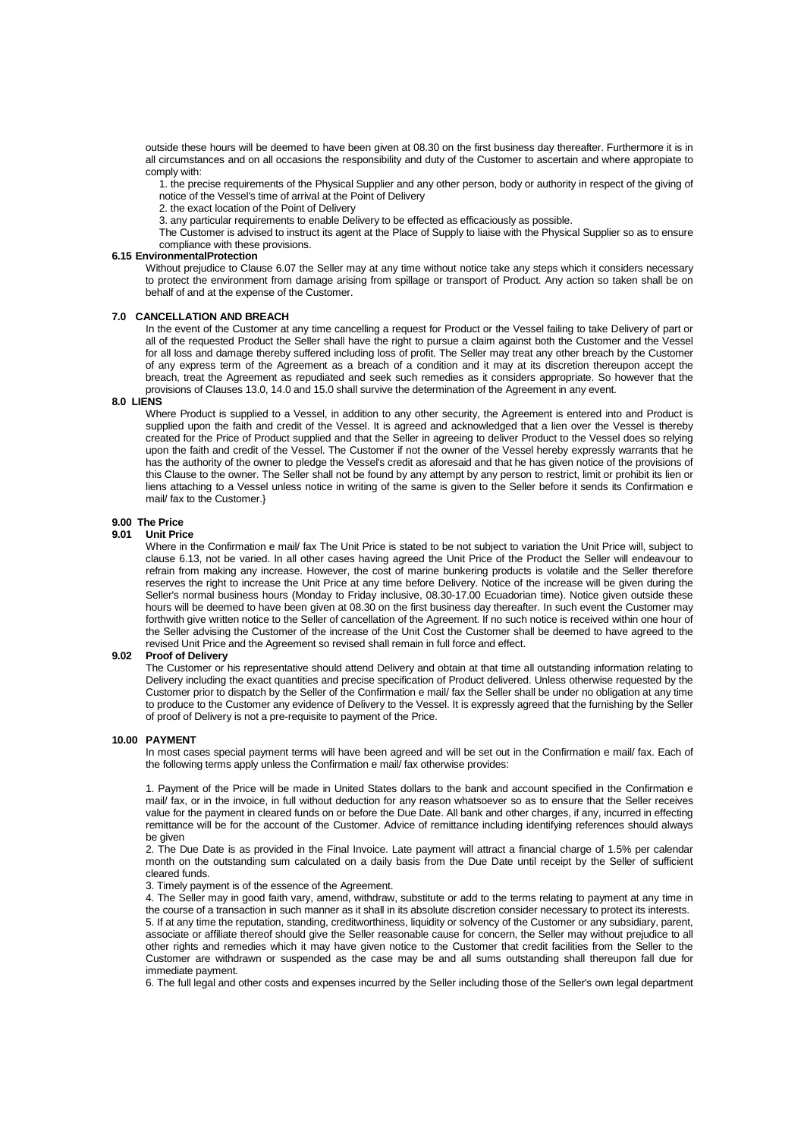outside these hours will be deemed to have been given at 08.30 on the first business day thereafter. Furthermore it is in all circumstances and on all occasions the responsibility and duty of the Customer to ascertain and where appropiate to comply with:

 1. the precise requirements of the Physical Supplier and any other person, body or authority in respect of the giving of notice of the Vessel's time of arrival at the Point of Delivery

2. the exact location of the Point of Delivery

3. any particular requirements to enable Delivery to be effected as efficaciously as possible.

 The Customer is advised to instruct its agent at the Place of Supply to liaise with the Physical Supplier so as to ensure compliance with these provisions.

# **6.15 EnvironmentalProtection**

 Without prejudice to Clause 6.07 the Seller may at any time without notice take any steps which it considers necessary to protect the environment from damage arising from spillage or transport of Product. Any action so taken shall be on behalf of and at the expense of the Customer.

# **7.0 CANCELLATION AND BREACH**

 In the event of the Customer at any time cancelling a request for Product or the Vessel failing to take Delivery of part or all of the requested Product the Seller shall have the right to pursue a claim against both the Customer and the Vessel for all loss and damage thereby suffered including loss of profit. The Seller may treat any other breach by the Customer of any express term of the Agreement as a breach of a condition and it may at its discretion thereupon accept the breach, treat the Agreement as repudiated and seek such remedies as it considers appropriate. So however that the provisions of Clauses 13.0, 14.0 and 15.0 shall survive the determination of the Agreement in any event.

#### **8.0 LIENS**

Where Product is supplied to a Vessel, in addition to any other security, the Agreement is entered into and Product is supplied upon the faith and credit of the Vessel. It is agreed and acknowledged that a lien over the Vessel is thereby created for the Price of Product supplied and that the Seller in agreeing to deliver Product to the Vessel does so relying upon the faith and credit of the Vessel. The Customer if not the owner of the Vessel hereby expressly warrants that he has the authority of the owner to pledge the Vessel's credit as aforesaid and that he has given notice of the provisions of this Clause to the owner. The Seller shall not be found by any attempt by any person to restrict, limit or prohibit its lien or liens attaching to a Vessel unless notice in writing of the same is given to the Seller before it sends its Confirmation e mail/ fax to the Customer.}

#### **9.00 The Price**

#### **9.01 Unit Price**

Where in the Confirmation e mail/ fax The Unit Price is stated to be not subject to variation the Unit Price will, subject to clause 6.13, not be varied. In all other cases having agreed the Unit Price of the Product the Seller will endeavour to refrain from making any increase. However, the cost of marine bunkering products is volatile and the Seller therefore reserves the right to increase the Unit Price at any time before Delivery. Notice of the increase will be given during the Seller's normal business hours (Monday to Friday inclusive, 08.30-17.00 Ecuadorian time). Notice given outside these hours will be deemed to have been given at 08.30 on the first business day thereafter. In such event the Customer may forthwith give written notice to the Seller of cancellation of the Agreement. If no such notice is received within one hour of the Seller advising the Customer of the increase of the Unit Cost the Customer shall be deemed to have agreed to the revised Unit Price and the Agreement so revised shall remain in full force and effect.

#### **9.02 Proof of Delivery**

immediate payment.

The Customer or his representative should attend Delivery and obtain at that time all outstanding information relating to Delivery including the exact quantities and precise specification of Product delivered. Unless otherwise requested by the Customer prior to dispatch by the Seller of the Confirmation e mail/ fax the Seller shall be under no obligation at any time to produce to the Customer any evidence of Delivery to the Vessel. It is expressly agreed that the furnishing by the Seller of proof of Delivery is not a pre-requisite to payment of the Price.

#### **10.00 PAYMENT**

In most cases special payment terms will have been agreed and will be set out in the Confirmation e mail/ fax. Each of the following terms apply unless the Confirmation e mail/ fax otherwise provides:

 1. Payment of the Price will be made in United States dollars to the bank and account specified in the Confirmation e mail/ fax, or in the invoice, in full without deduction for any reason whatsoever so as to ensure that the Seller receives value for the payment in cleared funds on or before the Due Date. All bank and other charges, if any, incurred in effecting remittance will be for the account of the Customer. Advice of remittance including identifying references should always be given

 2. The Due Date is as provided in the Final Invoice. Late payment will attract a financial charge of 1.5% per calendar month on the outstanding sum calculated on a daily basis from the Due Date until receipt by the Seller of sufficient cleared funds.

3. Timely payment is of the essence of the Agreement.

 4. The Seller may in good faith vary, amend, withdraw, substitute or add to the terms relating to payment at any time in the course of a transaction in such manner as it shall in its absolute discretion consider necessary to protect its interests. 5. If at any time the reputation, standing, creditworthiness, liquidity or solvency of the Customer or any subsidiary, parent, associate or affiliate thereof should give the Seller reasonable cause for concern, the Seller may without prejudice to all other rights and remedies which it may have given notice to the Customer that credit facilities from the Seller to the Customer are withdrawn or suspended as the case may be and all sums outstanding shall thereupon fall due for

6. The full legal and other costs and expenses incurred by the Seller including those of the Seller's own legal department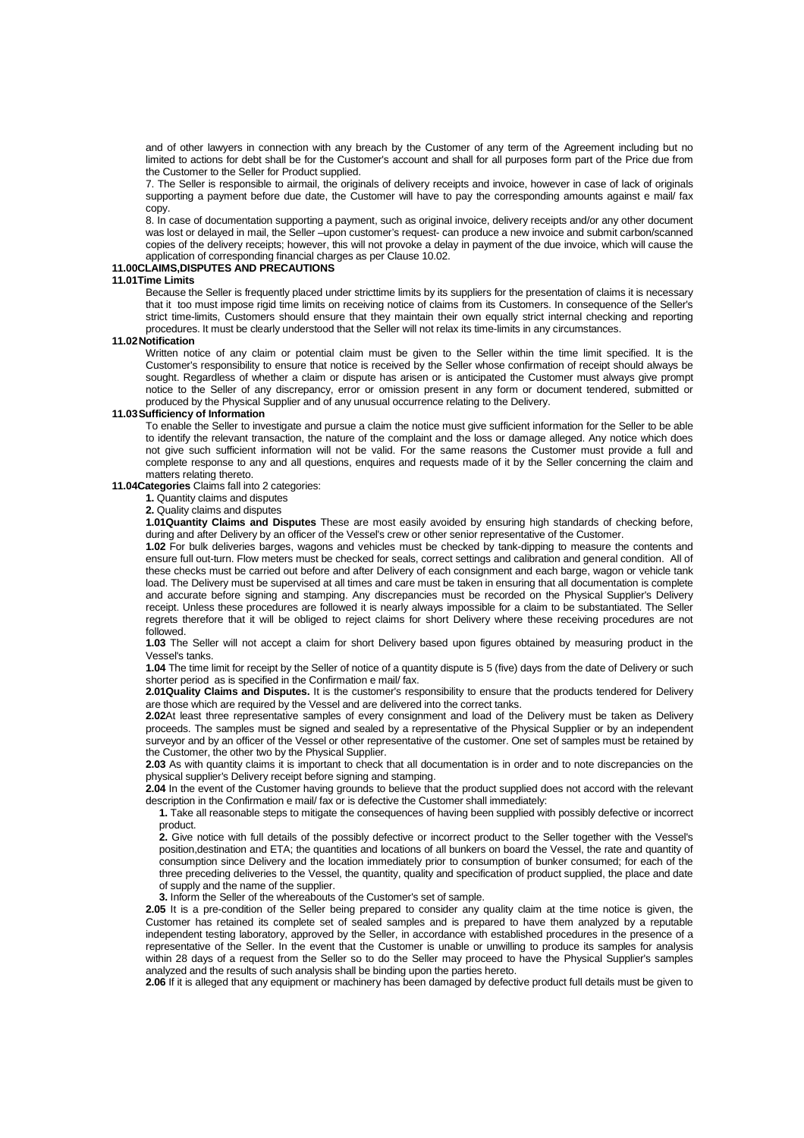and of other lawyers in connection with any breach by the Customer of any term of the Agreement including but no limited to actions for debt shall be for the Customer's account and shall for all purposes form part of the Price due from the Customer to the Seller for Product supplied.

 7. The Seller is responsible to airmail, the originals of delivery receipts and invoice, however in case of lack of originals supporting a payment before due date, the Customer will have to pay the corresponding amounts against e mail/ fax copy.

 8. In case of documentation supporting a payment, such as original invoice, delivery receipts and/or any other document was lost or delayed in mail, the Seller –upon customer's request- can produce a new invoice and submit carbon/scanned copies of the delivery receipts; however, this will not provoke a delay in payment of the due invoice, which will cause the application of corresponding financial charges as per Clause 10.02.

#### **11.00CLAIMS,DISPUTES AND PRECAUTIONS**

#### **11.01Time Limits**

Because the Seller is frequently placed under stricttime limits by its suppliers for the presentation of claims it is necessary that it too must impose rigid time limits on receiving notice of claims from its Customers. In consequence of the Seller's strict time-limits, Customers should ensure that they maintain their own equally strict internal checking and reporting procedures. It must be clearly understood that the Seller will not relax its time-limits in any circumstances.

#### **11.02 Notification**

Written notice of any claim or potential claim must be given to the Seller within the time limit specified. It is the Customer's responsibility to ensure that notice is received by the Seller whose confirmation of receipt should always be sought. Regardless of whether a claim or dispute has arisen or is anticipated the Customer must always give prompt notice to the Seller of any discrepancy, error or omission present in any form or document tendered, submitted or produced by the Physical Supplier and of any unusual occurrence relating to the Delivery.

## **11.03 Sufficiency of Information**

To enable the Seller to investigate and pursue a claim the notice must give sufficient information for the Seller to be able to identify the relevant transaction, the nature of the complaint and the loss or damage alleged. Any notice which does not give such sufficient information will not be valid. For the same reasons the Customer must provide a full and complete response to any and all questions, enquires and requests made of it by the Seller concerning the claim and matters relating thereto.

# **11.04Categories** Claims fall into 2 categories:

**1.** Quantity claims and disputes

**2.** Quality claims and disputes

**1.01Quantity Claims and Disputes** These are most easily avoided by ensuring high standards of checking before, during and after Delivery by an officer of the Vessel's crew or other senior representative of the Customer.

**1.02** For bulk deliveries barges, wagons and vehicles must be checked by tank-dipping to measure the contents and ensure full out-turn. Flow meters must be checked for seals, correct settings and calibration and general condition. All of these checks must be carried out before and after Delivery of each consignment and each barge, wagon or vehicle tank load. The Delivery must be supervised at all times and care must be taken in ensuring that all documentation is complete and accurate before signing and stamping. Any discrepancies must be recorded on the Physical Supplier's Delivery receipt. Unless these procedures are followed it is nearly always impossible for a claim to be substantiated. The Seller regrets therefore that it will be obliged to reject claims for short Delivery where these receiving procedures are not followed.

**1.03** The Seller will not accept a claim for short Delivery based upon figures obtained by measuring product in the Vessel's tanks.

**1.04** The time limit for receipt by the Seller of notice of a quantity dispute is 5 (five) days from the date of Delivery or such shorter period as is specified in the Confirmation e mail/ fax.

**2.01Quality Claims and Disputes.** It is the customer's responsibility to ensure that the products tendered for Delivery are those which are required by the Vessel and are delivered into the correct tanks.

**2.02**At least three representative samples of every consignment and load of the Delivery must be taken as Delivery proceeds. The samples must be signed and sealed by a representative of the Physical Supplier or by an independent surveyor and by an officer of the Vessel or other representative of the customer. One set of samples must be retained by the Customer, the other two by the Physical Supplier.

**2.03** As with quantity claims it is important to check that all documentation is in order and to note discrepancies on the physical supplier's Delivery receipt before signing and stamping.

**2.04** In the event of the Customer having grounds to believe that the product supplied does not accord with the relevant description in the Confirmation e mail/ fax or is defective the Customer shall immediately:

 **1.** Take all reasonable steps to mitigate the consequences of having been supplied with possibly defective or incorrect product.

 **2.** Give notice with full details of the possibly defective or incorrect product to the Seller together with the Vessel's position,destination and ETA; the quantities and locations of all bunkers on board the Vessel, the rate and quantity of consumption since Delivery and the location immediately prior to consumption of bunker consumed; for each of the three preceding deliveries to the Vessel, the quantity, quality and specification of product supplied, the place and date of supply and the name of the supplier.

**3.** Inform the Seller of the whereabouts of the Customer's set of sample.

**2.05** It is a pre-condition of the Seller being prepared to consider any quality claim at the time notice is given, the Customer has retained its complete set of sealed samples and is prepared to have them analyzed by a reputable independent testing laboratory, approved by the Seller, in accordance with established procedures in the presence of a representative of the Seller. In the event that the Customer is unable or unwilling to produce its samples for analysis within 28 days of a request from the Seller so to do the Seller may proceed to have the Physical Supplier's samples analyzed and the results of such analysis shall be binding upon the parties hereto.

**2.06** If it is alleged that any equipment or machinery has been damaged by defective product full details must be given to